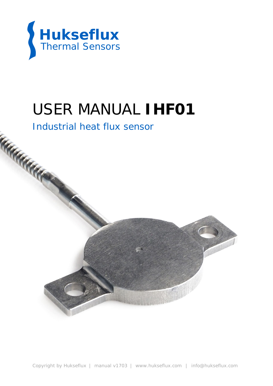

# USER MANUAL **IHF01**

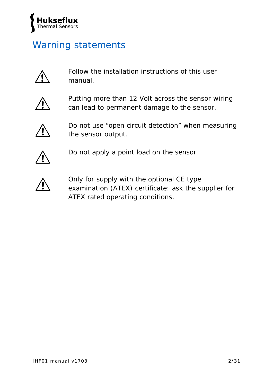

### <span id="page-1-0"></span>Warning statements



Follow the installation instructions of this user manual.



Putting more than 12 Volt across the sensor wiring can lead to permanent damage to the sensor.



Do not use "open circuit detection" when measuring the sensor output.



Do not apply a point load on the sensor



Only for supply with the optional CE type examination (ATEX) certificate: ask the supplier for ATEX rated operating conditions.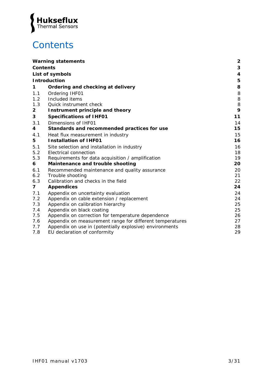

### <span id="page-2-0"></span>**Contents**

|              | <b>Warning statements</b>                                | $\mathbf{2}$            |
|--------------|----------------------------------------------------------|-------------------------|
|              | <b>Contents</b>                                          | 3                       |
|              | List of symbols                                          | $\overline{\mathbf{4}}$ |
|              | <b>Introduction</b>                                      | 5                       |
| 1            | Ordering and checking at delivery                        | 8                       |
| 1.1          | Ordering IHF01                                           | $\, 8$                  |
| 1.2          | Included items                                           | $\, 8$                  |
| 1.3          | Quick instrument check                                   | 8                       |
| $\mathbf{2}$ | Instrument principle and theory                          | 9                       |
| 3            | <b>Specifications of IHF01</b>                           | 11                      |
| 3.1          | Dimensions of IHF01                                      | 14                      |
| 4            | Standards and recommended practices for use              | 15                      |
| 4.1          | Heat flux measurement in industry                        | 15                      |
| 5            | <b>Installation of IHF01</b>                             | 16                      |
| 5.1          | Site selection and installation in industry              | 16                      |
| 5.2          | Electrical connection                                    | 18                      |
| 5.3          | Requirements for data acquisition / amplification        | 19                      |
| 6            | Maintenance and trouble shooting                         | 20                      |
| 6.1          | Recommended maintenance and quality assurance            | 20                      |
| 6.2          | Trouble shooting                                         | 21                      |
| 6.3          | Calibration and checks in the field                      | 22                      |
| 7            | <b>Appendices</b>                                        | 24                      |
| 7.1          | Appendix on uncertainty evaluation                       | 24                      |
| 7.2          | Appendix on cable extension / replacement                | 24                      |
| 7.3          | Appendix on calibration hierarchy                        | 25                      |
| 7.4          | Appendix on black coating                                | 25                      |
| 7.5          | Appendix on correction for temperature dependence        | 26                      |
| 7.6          | Appendix on measurement range for different temperatures | 27                      |
| 7.7          | Appendix on use in (potentially explosive) environments  | 28                      |
| 7.8          | EU declaration of conformity                             | 29                      |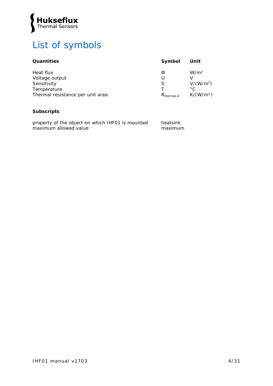

## <span id="page-3-0"></span>List of symbols

| Quantities                                      | Symbol                     | Unit                                  |
|-------------------------------------------------|----------------------------|---------------------------------------|
| Heat flux<br>Voltage output<br>Sensitivity      | Ф<br>U<br>S                | W/m <sup>2</sup><br>V<br>$V/(W/m^2)$  |
| Temperature<br>Thermal resistance per unit area | ${\sf R}_{\sf thermal, A}$ | $^{\circ}$ C<br>K/(W/m <sup>2</sup> ) |

### **Subscripts**

| property of the object on which IHF01 is mounted | heatsink |
|--------------------------------------------------|----------|
| maximum allowed value                            | maximum  |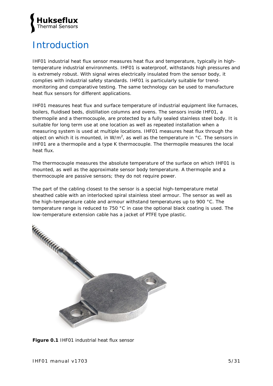

### <span id="page-4-0"></span>**Introduction**

IHF01 industrial heat flux sensor measures heat flux and temperature, typically in hightemperature industrial environments. IHF01 is waterproof, withstands high pressures and is extremely robust. With signal wires electrically insulated from the sensor body, it complies with industrial safety standards. IHF01 is particularly suitable for trendmonitoring and comparative testing. The same technology can be used to manufacture heat flux sensors for different applications.

IHF01 measures heat flux and surface temperature of industrial equipment like furnaces, boilers, fluidised beds, distillation columns and ovens. The sensors inside IHF01, a thermopile and a thermocouple, are protected by a fully sealed stainless steel body. It is suitable for long term use at one location as well as repeated installation when a measuring system is used at multiple locations. IHF01 measures heat flux through the object on which it is mounted, in W/m<sup>2</sup>, as well as the temperature in  $\degree$ C. The sensors in IHF01 are a thermopile and a type K thermocouple. The thermopile measures the local heat flux.

The thermocouple measures the absolute temperature of the surface on which IHF01 is mounted, as well as the approximate sensor body temperature. A thermopile and a thermocouple are passive sensors; they do not require power.

The part of the cabling closest to the sensor is a special high-temperature metal sheathed cable with an interlocked spiral stainless steel armour. The sensor as well as the high-temperature cable and armour withstand temperatures up to 900 °C. The temperature range is reduced to 750 °C in case the optional black coating is used. The low-temperature extension cable has a jacket of PTFE type plastic.



**Figure 0.1** *IHF01 industrial heat flux sensor*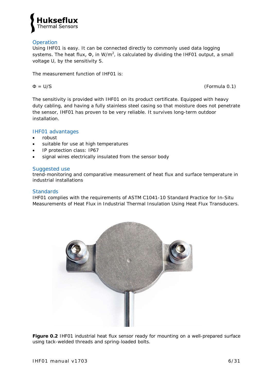

#### **Operation**

Using IHF01 is easy. It can be connected directly to commonly used data logging systems. The heat flux,  $\Phi$ , in W/m<sup>2</sup>, is calculated by dividing the IHF01 output, a small voltage U, by the sensitivity S.

The measurement function of IHF01 is:

 $\Phi = U/S$  (Formula 0.1)

The sensitivity is provided with IHF01 on its product certificate. Equipped with heavy duty cabling, and having a fully stainless steel casing so that moisture does not penetrate the sensor, IHF01 has proven to be very reliable. It survives long-term outdoor installation.

#### IHF01 advantages

- robust
- suitable for use at high temperatures
- IP protection class: IP67
- signal wires electrically insulated from the sensor body

#### Suggested use

trend-monitoring and comparative measurement of heat flux and surface temperature in industrial installations

#### **Standards**

IHF01 complies with the requirements of ASTM C1041-10 Standard Practice for In-Situ Measurements of Heat Flux in Industrial Thermal Insulation Using Heat Flux Transducers.



**Figure 0.2** *IHF01 industrial heat flux sensor ready for mounting on a well-prepared surface using tack-welded threads and spring-loaded bolts.*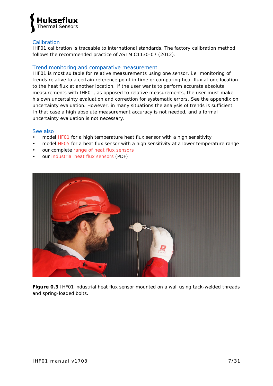

#### Calibration

IHF01 calibration is traceable to international standards. The factory calibration method follows the recommended practice of ASTM C1130-07 (2012).

#### Trend monitoring and comparative measurement

IHF01 is most suitable for relative measurements using one sensor, i.e. monitoring of trends relative to a certain reference point in time or comparing heat flux at one location to the heat flux at another location. If the user wants to perform accurate absolute measurements with IHF01, as opposed to relative measurements, the user must make his own uncertainty evaluation and correction for systematic errors. See the appendix on uncertainty evaluation. However, in many situations the analysis of trends is sufficient. In that case a high absolute measurement accuracy is not needed, and a formal uncertainty evaluation is not necessary.

#### See also

- model [HF01](http://www.hukseflux.com/product/hf01) for a high temperature heat flux sensor with a high sensitivity
- model [HF05](https://www.hukseflux.com/product/hf05) for a heat flux sensor with a high sensitivity at a lower temperature range
- our complete range of heat flux sensors
- our [industrial heat flux sensors](https://www.hukseflux.com/sites/default/files/product_group_bi_file/hukseflux_industrial_heat_flux_sensors-v1505.pdf) (PDF)



**Figure 0.3** *IHF01 industrial heat flux sensor mounted on a wall using tack-welded threads and spring-loaded bolts.*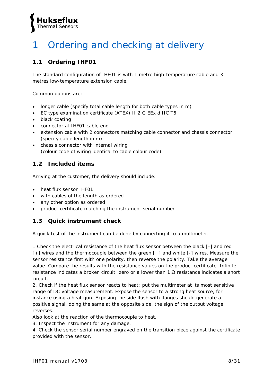

### <span id="page-7-0"></span>1 Ordering and checking at delivery

### <span id="page-7-1"></span>**1.1 Ordering IHF01**

The standard configuration of IHF01 is with 1 metre high-temperature cable and 3 metres low-temperature extension cable.

Common options are:

- longer cable (specify total cable length for both cable types in m)
- EC type examination certificate (ATEX) II 2 G EEx d IIC T6
- black coating
- connector at IHF01 cable end
- extension cable with 2 connectors matching cable connector and chassis connector (specify cable length in m)
- chassis connector with internal wiring (colour code of wiring identical to cable colour code)

### <span id="page-7-2"></span>**1.2 Included items**

Arriving at the customer, the delivery should include:

- heat flux sensor IHF01
- with cables of the length as ordered
- any other option as ordered
- product certificate matching the instrument serial number

### <span id="page-7-3"></span>**1.3 Quick instrument check**

A quick test of the instrument can be done by connecting it to a multimeter.

1 Check the electrical resistance of the heat flux sensor between the black [-] and red [+] wires and the thermocouple between the green [+] and white [-] wires. Measure the sensor resistance first with one polarity, then reverse the polarity. Take the average value. Compare the results with the resistance values on the product certificate. Infinite resistance indicates a broken circuit; zero or a lower than 1 Ω resistance indicates a short circuit.

2. Check if the heat flux sensor reacts to heat: put the multimeter at its most sensitive range of DC voltage measurement. Expose the sensor to a strong heat source, for instance using a heat gun. Exposing the side flush with flanges should generate a positive signal, doing the same at the opposite side, the sign of the output voltage reverses.

Also look at the reaction of the thermocouple to heat.

3. Inspect the instrument for any damage.

4. Check the sensor serial number engraved on the transition piece against the certificate provided with the sensor.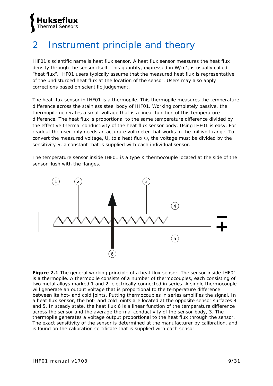

### <span id="page-8-0"></span>2 Instrument principle and theory

IHF01's scientific name is heat flux sensor. A heat flux sensor measures the heat flux density through the sensor itself. This quantity, expressed in  $W/m^2$ , is usually called "heat flux". IHF01 users typically assume that the measured heat flux is representative of the undisturbed heat flux at the location of the sensor. Users may also apply corrections based on scientific judgement.

The heat flux sensor in IHF01 is a thermopile. This thermopile measures the temperature difference across the stainless steel body of IHF01. Working completely passive, the thermopile generates a small voltage that is a linear function of this temperature difference. The heat flux is proportional to the same temperature difference divided by the effective thermal conductivity of the heat flux sensor body. Using IHF01 is easy. For readout the user only needs an accurate voltmeter that works in the millivolt range. To convert the measured voltage, U, to a heat flux Φ, the voltage must be divided by the sensitivity S, a constant that is supplied with each individual sensor.

The temperature sensor inside IHF01 is a type K thermocouple located at the side of the sensor flush with the flanges.



**Figure 2.1** *The general working principle of a heat flux sensor. The sensor inside IHF01 is a thermopile. A thermopile consists of a number of thermocouples, each consisting of two metal alloys marked 1 and 2, electrically connected in series. A single thermocouple will generate an output voltage that is proportional to the temperature difference between its hot- and cold joints. Putting thermocouples in series amplifies the signal. In a heat flux sensor, the hot- and cold joints are located at the opposite sensor surfaces 4 and 5. In steady state, the heat flux 6 is a linear function of the temperature difference across the sensor and the average thermal conductivity of the sensor body, 3. The thermopile generates a voltage output proportional to the heat flux through the sensor. The exact sensitivity of the sensor is determined at the manufacturer by calibration, and is found on the calibration certificate that is supplied with each sensor.*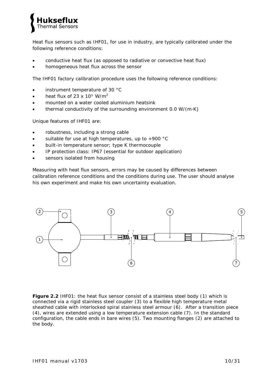

Heat flux sensors such as IHF01, for use in industry, are typically calibrated under the following reference conditions:

- conductive heat flux (as opposed to radiative or convective heat flux)
- homogeneous heat flux across the sensor

The IHF01 factory calibration procedure uses the following reference conditions:

- instrument temperature of 30 °C
- heat flux of 23 x 10<sup>3</sup> W/m<sup>2</sup>
- mounted on a water cooled aluminium heatsink
- thermal conductivity of the surrounding environment 0.0 W/(m∙K)

Unique features of IHF01 are:

- robustness, including a strong cable
- suitable for use at high temperatures, up to  $+900$  °C
- built-in temperature sensor; type K thermocouple
- IP protection class: IP67 (essential for outdoor application)
- sensors isolated from housing

Measuring with heat flux sensors, errors may be caused by differences between calibration reference conditions and the conditions during use. The user should analyse his own experiment and make his own uncertainty evaluation.



**Figure 2.2** *IHF01: the heat flux sensor consist of a stainless steel body (1) which is connected via a rigid stainless steel coupler (3) to a flexible high temperature metal sheathed cable with interlocked spiral stainless steel armour (6). After a transition piece (4), wires are extended using a low temperature extension cable (7). In the standard configuration, the cable ends in bare wires (5). Two mounting flanges (2) are attached to the body.*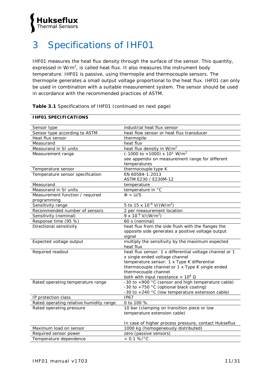

**IHF01 SPECIFICATIONS**

### <span id="page-10-0"></span>3 Specifications of IHF01

IHF01 measures the heat flux density through the surface of the sensor. This quantity, expressed in W/m<sup>2</sup>, is called heat flux. It also measures the instrument body temperature. IHF01 is passive, using thermopile and thermocouple sensors. The thermopile generates a small output voltage proportional to the heat flux. IHF01 can only be used in combination with a suitable measurement system. The sensor should be used in accordance with the recommended practices of ASTM.

| Sensor type                             | industrial heat flux sensor                                     |
|-----------------------------------------|-----------------------------------------------------------------|
| Sensor type according to ASTM           | heat flow sensor or heat flux transducer                        |
| Heat flux sensor                        | thermopile                                                      |
| Measurand                               | heat flux                                                       |
| Measurand in SI units                   | heat flux density in W/m <sup>2</sup>                           |
| Measurement range                       | $(-1000 \text{ to } +1000) \times 10^3 \text{ W/m}^2$           |
|                                         | see appendix on measurement range for different                 |
|                                         | temperatures                                                    |
| Temperature sensor                      | thermocouple type K                                             |
| Temperature sensor specification        | EN 60584-1:2013                                                 |
|                                         | ASTM E230 / E230M-12                                            |
| Measurand                               | temperature                                                     |
| Measurand in SI units                   | temperature in °C                                               |
| Measurement function / required         | $\Phi = U/S$                                                    |
| programming                             |                                                                 |
| Sensitivity range                       | 5 to 15 x 10 <sup>-9</sup> V/(W/m <sup>2</sup> )                |
| Recommended number of sensors           | 2 per measurement location                                      |
| Sensitivity (nominal)                   | 9 x $10^{-9}$ V/(W/m <sup>2</sup> )                             |
| Response time (95 %)                    | 60 s (nominal)                                                  |
| Directional sensitivity                 | heat flux from the side flush with the flanges the              |
|                                         | opposite side generates a positive voltage output               |
|                                         | signal                                                          |
| Expected voltage output                 | multiply the sensitivity by the maximum expected                |
|                                         | heat flux                                                       |
| Required readout                        | heat flux sensor: 1 x differential voltage channel or 1         |
|                                         | x single ended voltage channel                                  |
|                                         | temperature sensor: 1 x Type K differential                     |
|                                         | thermocouple channel or 1 x Type K single ended                 |
|                                         | thermocouple channel                                            |
|                                         | both with input resistance > $10^6 \Omega$                      |
| Rated operating temperature range       | -30 to +900 °C (sensor and high temperature cable)              |
|                                         | -30 to +750 °C (optional black coating)                         |
|                                         | -30 to +240 °C (low temperature extension cable)<br><b>IP67</b> |
| IP protection class                     |                                                                 |
| Rated operating relative humidity range | 0 to 100 %                                                      |
| Rated operating pressure                | 10 bar (clamping on transition piece or low                     |
|                                         | temperature extension cable)                                    |
|                                         | In case of higher process pressure, contact Hukseflux           |
| Maximum load on sensor                  | 1000 kg (homogeneously distributed)                             |
| Required sensor power                   | zero (passive sensors)                                          |
| Temperature dependence                  | $< 0.1 %$ %/ $°C$                                               |
|                                         |                                                                 |

#### **Table 3.1** *Specifications of IHF01 (continued on next page)*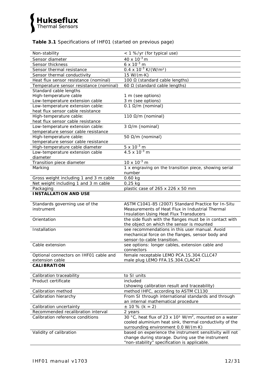

| Non-stability                           | < 1 %/yr (for typical use)                                                     |
|-----------------------------------------|--------------------------------------------------------------------------------|
| Sensor diameter                         | 40 x $10^{-3}$ m                                                               |
| Sensor thickness                        | $6 \times 10^{-3}$ m                                                           |
| Sensor thermal resistance               | $0.4 \times 10^{-3}$ K/(W/m <sup>2</sup> )                                     |
| Sensor thermal conductivity             | 15 W/( $m$ ·K)                                                                 |
| Heat flux sensor resistance (nominal)   | 100 $Ω$ (standard cable lengths)                                               |
| Temperature sensor resistance (nominal) | 60 $\Omega$ (standard cable lengths)                                           |
| Standard cable lengths                  |                                                                                |
| High-temperature cable                  | 1 m (see options)                                                              |
| Low-temperature extension cable         | 3 m (see options)                                                              |
| Low-temperature extension cable:        | $0.1$ Ω/m (nominal)                                                            |
| heat flux sensor cable resistance       |                                                                                |
| High-temperature cable:                 | 110 $Ω/m$ (nominal)                                                            |
| heat flux sensor cable resistance       |                                                                                |
| Low-temperature extension cable:        | $3 \Omega/m$ (nominal)                                                         |
| temperature sensor cable resistance     |                                                                                |
| High-temperature cable:                 | 50 $Ω/m$ (nominal)                                                             |
| temperature sensor cable resistance     |                                                                                |
| High-temperature cable diameter         | $5 \times 10^{-3}$ m<br>$4.5 \times 10^{-3}$ m                                 |
| Low-temperature extension cable         |                                                                                |
| diameter                                | $10 \times 10^{-3}$ m                                                          |
| Transition piece diameter               | 1 x engraving on the transition piece, showing serial                          |
| Marking                                 | number                                                                         |
| Gross weight including 1 and 3 m cable  | $0.60$ kg                                                                      |
| Net weight including 1 and 3 m cable    | $0.25$ kg                                                                      |
| Packaging                               | plastic case of 265 x 226 x 50 mm                                              |
| <b>INSTALLATION AND USE</b>             |                                                                                |
| Standards governing use of the          | ASTM C1041-85 (2007) Standard Practice for In-Situ                             |
| instrument                              | Measurements of Heat Flux in Industrial Thermal                                |
|                                         | Insulation Using Heat Flux Transducers                                         |
| Orientation                             | the side flush with the flanges must be in contact with                        |
|                                         | the object on which the sensor is mounted                                      |
| Installation                            | see recommendations in this user manual. Avoid                                 |
|                                         | mechanical force on the flanges, sensor body and                               |
|                                         | sensor-to-cable transition.                                                    |
| Cable extension                         | see options: longer cables, extension cable and                                |
|                                         | connectors                                                                     |
| Optional connectors on IHF01 cable and  | female receptable LEMO PCA.1S.304.CLLC47                                       |
| extension cable                         | male plug LEMO FFA.1S.304.CLAC47                                               |
| <b>CALIBRATION</b>                      |                                                                                |
| Calibration traceability                | to SI units                                                                    |
| Product certificate                     | included                                                                       |
|                                         | (showing calibration result and traceability)                                  |
| Calibration method                      | method IHFC, according to ASTM C1130                                           |
| Calibration hierarchy                   | From SI through international standards and through                            |
|                                         | an internal mathematical procedure                                             |
| Calibration uncertainty                 | $\pm$ 10 % (k = 2)                                                             |
| Recommended recalibration interval      | 2 years                                                                        |
| Calibration reference conditions        | 30 °C, heat flux of 23 x 10 <sup>3</sup> W/m <sup>2</sup> , mounted on a water |
|                                         | cooled aluminium heat sink, thermal conductivity of the                        |
|                                         | surrounding environment 0.0 W/(m·K)                                            |
| Validity of calibration                 | based on experience the instrument sensitivity will not                        |
|                                         | change during storage. During use the instrument                               |
|                                         | "non-stability" specification is applicable.                                   |

### **Table 3.1** *Specifications of IHF01 (started on previous page)*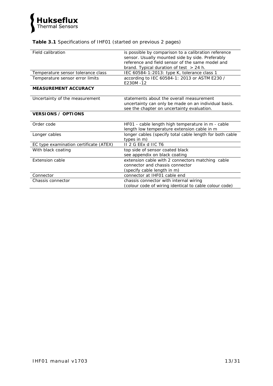

| Field calibration                      | is possible by comparison to a calibration reference     |
|----------------------------------------|----------------------------------------------------------|
|                                        | sensor. Usually mounted side by side. Preferably         |
|                                        | reference and field sensor of the same model and         |
|                                        | brand. Typical duration of test $> 24$ h.                |
| Temperature sensor tolerance class     | IEC 60584-1:2013: type K, tolerance class 1              |
| Temperature sensor error limits        | according to IEC 60584-1: 2013 or ASTM E230 /            |
|                                        | E230M-12                                                 |
| <b>MEASUREMENT ACCURACY</b>            |                                                          |
|                                        |                                                          |
| Uncertainty of the measurement         | statements about the overall measurement                 |
|                                        | uncertainty can only be made on an individual basis.     |
|                                        | see the chapter on uncertainty evaluation.               |
| <b>VERSIONS / OPTIONS</b>              |                                                          |
| Order code                             | HF01 - cable length high temperature in m - cable        |
|                                        | length low temperature extension cable in m              |
| Longer cables                          | longer cables (specify total cable length for both cable |
|                                        | types in m)                                              |
| EC type examination certificate (ATEX) | II 2 G EEX d IIC T6                                      |
| With black coating                     | top side of sensor coated black                          |
|                                        | see appendix on black coating                            |
| Extension cable                        | extension cable with 2 connectors matching cable         |
|                                        | connector and chassis connector                          |
|                                        | (specify cable length in m)                              |
| Connector                              | connector at IHF01 cable end                             |
| Chassis connector                      | chassis connector with internal wiring                   |
|                                        | (colour code of wiring identical to cable colour code)   |

### **Table 3.1** *Specifications of IHF01 (started on previous 2 pages)*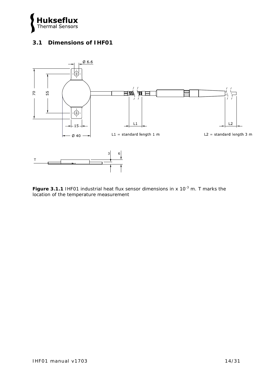

### <span id="page-13-0"></span>**3.1 Dimensions of IHF01**



**Figure 3.1.1** *IHF01 industrial heat flux sensor dimensions in x 10-3 m. T marks the location of the temperature measurement*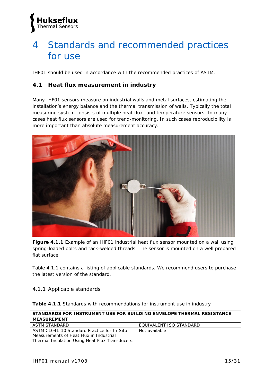

### <span id="page-14-0"></span>4 Standards and recommended practices for use

IHF01 should be used in accordance with the recommended practices of ASTM.

### <span id="page-14-1"></span>**4.1 Heat flux measurement in industry**

Many IHF01 sensors measure on industrial walls and metal surfaces, estimating the installation's energy balance and the thermal transmission of walls. Typically the total measuring system consists of multiple heat flux- and temperature sensors. In many cases heat flux sensors are used for trend-monitoring. In such cases reproducibility is more important than absolute measurement accuracy.



**Figure 4.1.1** *Example of an IHF01 industrial heat flux sensor mounted on a wall using spring-loaded bolts and tack-welded threads. The sensor is mounted on a well prepared flat surface.*

Table 4.1.1 contains a listing of applicable standards. We recommend users to purchase the latest version of the standard.

#### 4.1.1 Applicable standards

| Table 4.1.1 Standards with recommendations for instrument use in industry |  |  |  |
|---------------------------------------------------------------------------|--|--|--|
|---------------------------------------------------------------------------|--|--|--|

| STANDARDS FOR INSTRUMENT USE FOR BUILDING ENVELOPE THERMAL RESISTANCE |                         |  |
|-----------------------------------------------------------------------|-------------------------|--|
| <b>MEASUREMENT</b>                                                    |                         |  |
| ASTM STANDARD                                                         | EQUIVALENT ISO STANDARD |  |
| ASTM C1041-10 Standard Practice for In-Situ                           | Not available           |  |
| Measurements of Heat Flux in Industrial                               |                         |  |
| Thermal Insulation Using Heat Flux Transducers.                       |                         |  |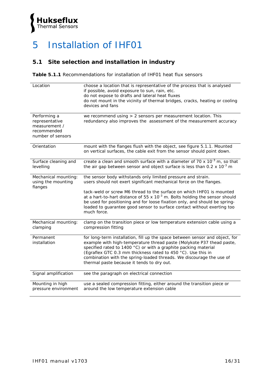

### <span id="page-15-0"></span>5 Installation of IHF01

### <span id="page-15-1"></span>**5.1 Site selection and installation in industry**

**Table 5.1.1** *Recommendations for installation of IHF01 heat flux sensors* 

| Location                                                                            | choose a location that is representative of the process that is analysed<br>if possible, avoid exposure to sun, rain, etc.<br>do not expose to drafts and lateral heat fluxes<br>do not mount in the vicinity of thermal bridges, cracks, heating or cooling<br>devices and fans                                                                                                                                                                                                      |
|-------------------------------------------------------------------------------------|---------------------------------------------------------------------------------------------------------------------------------------------------------------------------------------------------------------------------------------------------------------------------------------------------------------------------------------------------------------------------------------------------------------------------------------------------------------------------------------|
| Performing a<br>representative<br>measurement /<br>recommended<br>number of sensors | we recommend using > 2 sensors per measurement location. This<br>redundancy also improves the assessment of the measurement accuracy                                                                                                                                                                                                                                                                                                                                                  |
| Orientation                                                                         | mount with the flanges flush with the object, see figure 5.1.1. Mounted<br>on vertical surfaces, the cable exit from the sensor should point down.                                                                                                                                                                                                                                                                                                                                    |
| Surface cleaning and<br>levelling                                                   | create a clean and smooth surface with a diameter of 70 x $10^{-3}$ m, so that<br>the air gap between sensor and object surface is less than $0.2 \times 10^{-3}$ m                                                                                                                                                                                                                                                                                                                   |
| Mechanical mounting:<br>using the mounting<br>flanges                               | the sensor body withstands only limited pressure and strain.<br>users should not exert significant mechanical force on the flanges.<br>tack-weld or screw M6 thread to the surface on which IHF01 is mounted<br>at a hart-to-hart distance of 55 $\times$ 10 <sup>-3</sup> m. Bolts holding the sensor should<br>be used for positioning and for loose fixation only, and should be spring-<br>loaded to guarantee good sensor to surface contact without exerting too<br>much force. |
| Mechanical mounting:<br>clamping                                                    | clamp on the transition piece or low temperature extension cable using a<br>compression fitting                                                                                                                                                                                                                                                                                                                                                                                       |
| Permanent<br>installation                                                           | for long-term installation, fill up the space between sensor and object, for<br>example with high-temperature thread paste (Molykote P37 thead paste,<br>specified rated to 1400 °C) or with a graphite packing material<br>(Egraflex GTC 0.3 mm thickness rated to 450 °C). Use this in<br>combination with the spring-loaded threads. We discourage the use of<br>thermal paste because it tends to dry out.                                                                        |
| Signal amplification                                                                | see the paragraph on electrical connection                                                                                                                                                                                                                                                                                                                                                                                                                                            |
| Mounting in high<br>pressure environment                                            | use a sealed compression fitting, either around the transition piece or<br>around the low temperature extension cable                                                                                                                                                                                                                                                                                                                                                                 |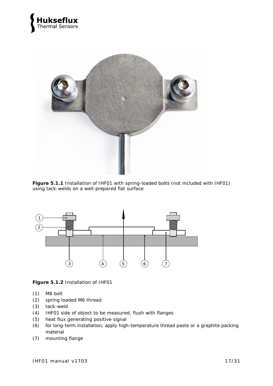



**Figure 5.1.1** *Installation of IHF01 with spring-loaded bolts (not included with IHF01) using tack-welds on a well-prepared flat surface*



**Figure 5.1.2** *Installation of IHF01*

- *(1) M6 bolt*
- *(2) spring loaded M6 thread*
- *(3) tack-weld*
- *(4) IHF01 side of object to be measured, flush with flanges*
- *(5) heat flux generating positive signal*
- *(6) for long-term installation, apply high-temperature thread paste or a graphite packing material*
- *(7) mounting flange*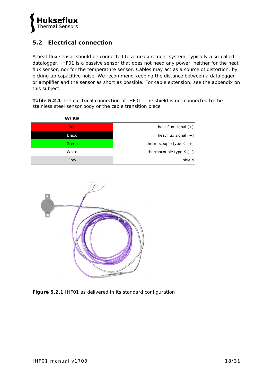

### <span id="page-17-0"></span>**5.2 Electrical connection**

A heat flux sensor should be connected to a measurement system, typically a so-called datalogger. IHF01 is a passive sensor that does not need any power, neither for the heat flux sensor, nor for the temperature sensor. Cables may act as a source of distortion, by picking up capacitive noise. We recommend keeping the distance between a datalogger or amplifier and the sensor as short as possible. For cable extension, see the appendix on this subject.

| <b>Table 5.2.1</b> The electrical connection of IHF01. The shield is not connected to the |  |  |  |
|-------------------------------------------------------------------------------------------|--|--|--|
| stainless steel sensor body or the cable transition piece                                 |  |  |  |

|                             | <b>WIRE</b>  |
|-----------------------------|--------------|
| heat flux signal $[+]$      | <b>Red</b>   |
| heat flux signal $[-]$      | <b>Black</b> |
| thermocouple type $K$ [+]   | Green        |
| thermocouple type $K$ $[-]$ | White        |
| shield                      | Grey         |



**Figure 5.2.1** *IHF01 as delivered in its standard configuration*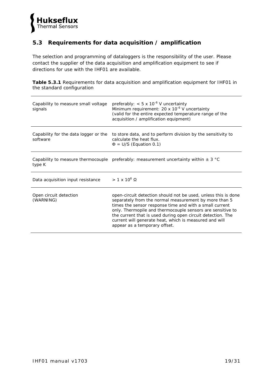

### <span id="page-18-0"></span>**5.3 Requirements for data acquisition / amplification**

The selection and programming of dataloggers is the responsibility of the user. Please contact the supplier of the data acquisition and amplification equipment to see if directions for use with the IHF01 are available.

**Table 5.3.1** *Requirements for data acquisition and amplification equipment for IHF01 in the standard configuration* 

| Capability to measure small voltage<br>signals    | preferably: $< 5 \times 10^{-6}$ V uncertainty<br>Minimum requirement: 20 x 10 <sup>-6</sup> V uncertainty<br>(valid for the entire expected temperature range of the<br>acquisition / amplification equipment)                                                                                                                                                                                            |
|---------------------------------------------------|------------------------------------------------------------------------------------------------------------------------------------------------------------------------------------------------------------------------------------------------------------------------------------------------------------------------------------------------------------------------------------------------------------|
| Capability for the data logger or the<br>software | to store data, and to perform division by the sensitivity to<br>calculate the heat flux.<br>$\Phi = U/S$ (Equation 0.1)                                                                                                                                                                                                                                                                                    |
| type K                                            | Capability to measure thermocouple preferably: measurement uncertainty within $\pm$ 3 °C                                                                                                                                                                                                                                                                                                                   |
| Data acquisition input resistance                 | $> 1 \times 10^6$ Q                                                                                                                                                                                                                                                                                                                                                                                        |
| Open circuit detection<br>(WARNING)               | open-circuit detection should not be used, unless this is done<br>separately from the normal measurement by more than 5<br>times the sensor response time and with a small current<br>only. Thermopile and thermocouple sensors are sensitive to<br>the current that is used during open circuit detection. The<br>current will generate heat, which is measured and will<br>appear as a temporary offset. |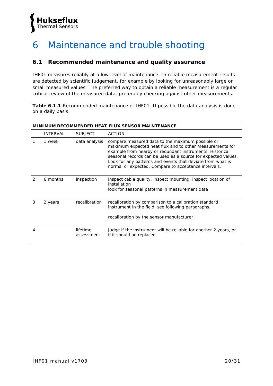

### <span id="page-19-0"></span>6 Maintenance and trouble shooting

### <span id="page-19-1"></span>**6.1 Recommended maintenance and quality assurance**

IHF01 measures reliably at a low level of maintenance. Unreliable measurement results are detected by scientific judgement, for example by looking for unreasonably large or small measured values. The preferred way to obtain a reliable measurement is a regular critical review of the measured data, preferably checking against other measurements.

**Table 6.1.1** *Recommended maintenance of IHF01. If possible the data analysis is done on a daily basis.*

| MINIMUM RECOMMENDED HEAT FLUX SENSOR MAINTENANCE |                 |                        |                                                                                                                                                                                                                                                                                                                                                                 |  |
|--------------------------------------------------|-----------------|------------------------|-----------------------------------------------------------------------------------------------------------------------------------------------------------------------------------------------------------------------------------------------------------------------------------------------------------------------------------------------------------------|--|
|                                                  | <b>INTERVAL</b> | <b>SUBJECT</b>         | ACTION                                                                                                                                                                                                                                                                                                                                                          |  |
|                                                  | 1 week          | data analysis          | compare measured data to the maximum possible or<br>maximum expected heat flux and to other measurements for<br>example from nearby or redundant instruments. Historical<br>seasonal records can be used as a source for expected values.<br>Look for any patterns and events that deviate from what is<br>normal or expected. Compare to acceptance intervals. |  |
| $\mathcal{P}$                                    | 6 months        | inspection             | inspect cable quality, inspect mounting, inspect location of<br>installation<br>look for seasonal patterns in measurement data                                                                                                                                                                                                                                  |  |
| 3                                                | 2 years         | recalibration          | recalibration by comparison to a calibration standard<br>instrument in the field, see following paragraphs.<br>recalibration by the sensor manufacturer                                                                                                                                                                                                         |  |
| 4                                                |                 | lifetime<br>assessment | judge if the instrument will be reliable for another 2 years, or<br>if it should be replaced                                                                                                                                                                                                                                                                    |  |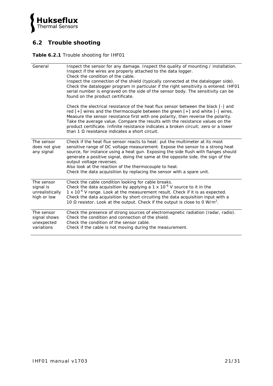

### <span id="page-20-0"></span>**6.2 Trouble shooting**

### **Table 6.2.1** *Trouble shooting for IHF01*

| General                                                   | Inspect the sensor for any damage. Inspect the quality of mounting / installation.<br>Inspect if the wires are properly attached to the data logger.<br>Check the condition of the cable.<br>Inspect the connection of the shield (typically connected at the datalogger side).<br>Check the datalogger program in particular if the right sensitivity is entered. IHF01<br>serial number is engraved on the side of the sensor body. The sensitivity can be<br>found on the product certificate.      |
|-----------------------------------------------------------|--------------------------------------------------------------------------------------------------------------------------------------------------------------------------------------------------------------------------------------------------------------------------------------------------------------------------------------------------------------------------------------------------------------------------------------------------------------------------------------------------------|
|                                                           | Check the electrical resistance of the heat flux sensor between the black [-] and<br>red $[+]$ wires and the thermocouple between the green $[+]$ and white $[.]$ wires.<br>Measure the sensor resistance first with one polarity, then reverse the polarity.<br>Take the average value. Compare the results with the resistance values on the<br>product certificate. Infinite resistance indicates a broken circuit; zero or a lower<br>than 1 $\Omega$ resistance indicates a short circuit.        |
| The sensor<br>does not give<br>any signal                 | Check if the heat flux sensor reacts to heat: put the multimeter at its most<br>sensitive range of DC voltage measurement. Expose the sensor to a strong heat<br>source, for instance using a heat gun. Exposing the side flush with flanges should<br>generate a positive signal, doing the same at the opposite side, the sign of the<br>output voltage reverses.<br>Also look at the reaction of the thermocouple to heat.<br>Check the data acquisition by replacing the sensor with a spare unit. |
| The sensor<br>signal is<br>unrealistically<br>high or low | Check the cable condition looking for cable breaks.<br>Check the data acquisition by applying a 1 $\times$ 10 <sup>-6</sup> V source to it in the<br>1 x 10 <sup>-6</sup> V range. Look at the measurement result. Check if it is as expected.<br>Check the data acquisition by short circuiting the data acquisition input with a<br>10 Ω resistor. Look at the output. Check if the output is close to 0 W/m <sup>2</sup> .                                                                          |
| The sensor<br>signal shows<br>unexpected<br>variations    | Check the presence of strong sources of electromagnetic radiation (radar, radio).<br>Check the condition and connection of the shield.<br>Check the condition of the sensor cable.<br>Check if the cable is not moving during the measurement.                                                                                                                                                                                                                                                         |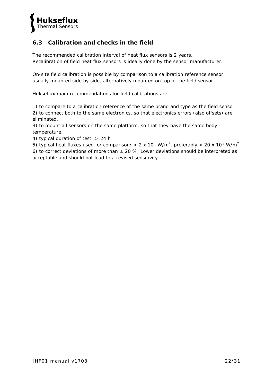

### <span id="page-21-0"></span>**6.3 Calibration and checks in the field**

The recommended calibration interval of heat flux sensors is 2 years. Recalibration of field heat flux sensors is ideally done by the sensor manufacturer.

On-site field calibration is possible by comparison to a calibration reference sensor, usually mounted side by side, alternatively mounted on top of the field sensor.

Hukseflux main recommendations for field calibrations are:

1) to compare to a calibration reference of the same brand and type as the field sensor 2) to connect both to the same electronics, so that electronics errors (also offsets) are eliminated.

3) to mount all sensors on the same platform, so that they have the same body temperature.

4) typical duration of test: > 24 h

5) typical heat fluxes used for comparison:  $> 2 \times 10^3 \text{ W/m}^2$ , preferably  $> 20 \times 10^3 \text{ W/m}^2$ 

6) to correct deviations of more than  $\pm$  20 %. Lower deviations should be interpreted as acceptable and should not lead to a revised sensitivity.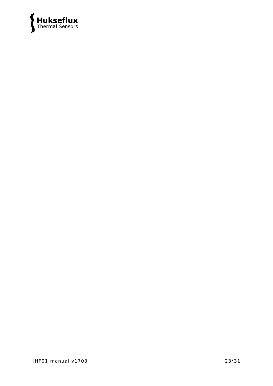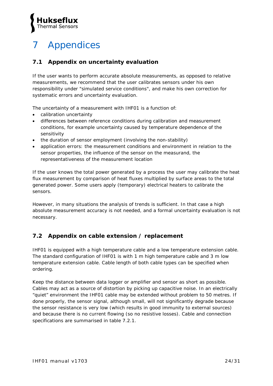

## <span id="page-23-0"></span>7 Appendices

### <span id="page-23-1"></span>**7.1 Appendix on uncertainty evaluation**

If the user wants to perform accurate absolute measurements, as opposed to relative measurements, we recommend that the user calibrates sensors under his own responsibility under "simulated service conditions", and make his own correction for systematic errors and uncertainty evaluation.

The uncertainty of a measurement with IHF01 is a function of:

- calibration uncertainty
- differences between reference conditions during calibration and measurement conditions, for example uncertainty caused by temperature dependence of the sensitivity
- the duration of sensor employment (involving the non-stability)
- application errors: the measurement conditions and environment in relation to the sensor properties, the influence of the sensor on the measurand, the representativeness of the measurement location

If the user knows the total power generated by a process the user may calibrate the heat flux measurement by comparison of heat fluxes multiplied by surface areas to the total generated power. Some users apply (temporary) electrical heaters to calibrate the sensors.

However, in many situations the analysis of trends is sufficient. In that case a high absolute measurement accuracy is not needed, and a formal uncertainty evaluation is not necessary.

### <span id="page-23-2"></span>**7.2 Appendix on cable extension / replacement**

IHF01 is equipped with a high temperature cable and a low temperature extension cable. The standard configuration of IHF01 is with 1 m high temperature cable and 3 m low temperature extension cable. Cable length of both cable types can be specified when ordering.

Keep the distance between data logger or amplifier and sensor as short as possible. Cables may act as a source of distortion by picking up capacitive noise. In an electrically "quiet" environment the IHF01 cable may be extended without problem to 50 metres. If done properly, the sensor signal, although small, will not significantly degrade because the sensor resistance is very low (which results in good immunity to external sources) and because there is no current flowing (so no resistive losses). Cable and connection specifications are summarised in table 7.2.1.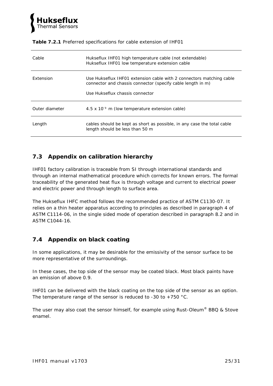

| Cable            | Hukseflux IHF01 high temperature cable (not extendable)<br>Hukseflux IHF01 low temperature extension cable                                                             |
|------------------|------------------------------------------------------------------------------------------------------------------------------------------------------------------------|
| <b>Extension</b> | Use Hukseflux IHF01 extension cable with 2 connectors matching cable<br>connector and chassis connector (specify cable length in m)<br>Use Hukseflux chassis connector |
| Outer diameter   | $4.5 \times 10^{-3}$ m (low temperature extension cable)                                                                                                               |
| Length           | cables should be kept as short as possible, in any case the total cable<br>length should be less than 50 m                                                             |

**Table 7.2.1** *Preferred* s*pecifications for cable extension of IHF01*

### <span id="page-24-0"></span>**7.3 Appendix on calibration hierarchy**

IHF01 factory calibration is traceable from SI through international standards and through an internal mathematical procedure which corrects for known errors. The formal traceability of the generated heat flux is through voltage and current to electrical power and electric power and through length to surface area.

The Hukseflux IHFC method follows the recommended practice of ASTM C1130-07. It relies on a thin heater apparatus according to principles as described in paragraph 4 of ASTM C1114-06, in the single sided mode of operation described in paragraph 8.2 and in ASTM C1044-16.

### <span id="page-24-1"></span>**7.4 Appendix on black coating**

In some applications, it may be desirable for the emissivity of the sensor surface to be more representative of the surroundings.

In these cases, the top side of the sensor may be coated black. Most black paints have an emission of above 0.9.

IHF01 can be delivered with the black coating on the top side of the sensor as an option. The temperature range of the sensor is reduced to -30 to +750  $^{\circ}$ C.

The user may also coat the sensor himself, for example using Rust-Oleum® BBQ & Stove enamel.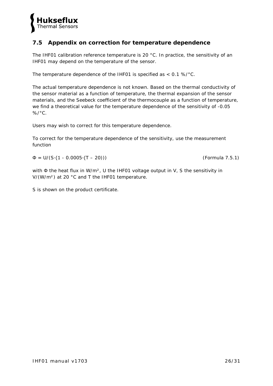

### <span id="page-25-0"></span>**7.5 Appendix on correction for temperature dependence**

The IHF01 calibration reference temperature is 20 °C. In practice, the sensitivity of an IHF01 may depend on the temperature of the sensor.

The temperature dependence of the IHF01 is specified as < 0.1 %/°C.

The actual temperature dependence is not known. Based on the thermal conductivity of the sensor material as a function of temperature, the thermal expansion of the sensor materials, and the Seebeck coefficient of the thermocouple as a function of temperature, we find a theoretical value for the temperature dependence of the sensitivity of -0.05  $%$ /°C.

Users may wish to correct for this temperature dependence.

To correct for the temperature dependence of the sensitivity, use the measurement function

 $\Phi = U/(S·(1 - 0.0005·(T - 20)))$  (Formula 7.5.1)

with Φ the heat flux in W/m<sup>2</sup>, U the IHF01 voltage output in V, S the sensitivity in V/(W/m²) at 20 °C and T the IHF01 temperature.

S is shown on the product certificate.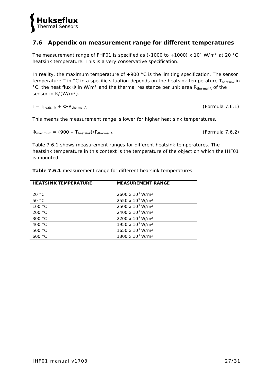

### <span id="page-26-0"></span>**7.6 Appendix on measurement range for different temperatures**

The measurement range of FHF01 is specified as  $(-1000 \text{ to } +1000) \times 10^{3} \text{ W/m}^{2}$  at 20 °C heatsink temperature. This is a very conservative specification.

In reality, the maximum temperature of  $+900$  °C is the limiting specification. The sensor temperature T in  $\degree$ C in a specific situation depends on the heatsink temperature T<sub>heatsink</sub> in °C, the heat flux Φ in W/m<sup>2</sup> and the thermal resistance per unit area R<sub>thermal,A</sub> of the sensor in K/(W/m<sup>2</sup>).

$$
T = T_{heatsink} + \Phi \cdot R_{thermal,A}
$$

This means the measurement range is lower for higher heat sink temperatures.

 $\Phi_{\text{maximum}} = (900 - T_{\text{heatsink}})/R_{\text{thermal,A}}$  (Formula 7.6.2)

 $(Formula 7.6.1)$ 

Table 7.6.1 shows measurement ranges for different heatsink temperatures. The heatsink temperature in this context is the temperature of the object on which the IHF01 is mounted.

**Table 7.6.1** measurement range for different heatsink temperatures

| <b>HEATSINK TEMPERATURE</b> | <b>MEASUREMENT RANGE</b>                |
|-----------------------------|-----------------------------------------|
|                             |                                         |
| 20 °C                       | 2600 x 10 <sup>3</sup> W/m <sup>2</sup> |
| 50 °C                       | 2550 x $10^3$ W/m <sup>2</sup>          |
| 100 °C                      | 2500 x $10^3$ W/m <sup>2</sup>          |
| 200 °C                      | 2400 x $10^3$ W/m <sup>2</sup>          |
| 300 °C                      | 2200 x $10^3$ W/m <sup>2</sup>          |
| 400 °C                      | $1950 \times 10^3$ W/m <sup>2</sup>     |
| 500 °C                      | 1650 x $10^3$ W/m <sup>2</sup>          |
| 600 °C                      | 1300 x $10^3$ W/m <sup>2</sup>          |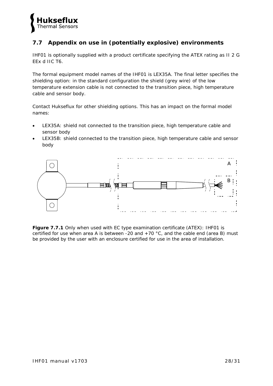

### <span id="page-27-0"></span>**7.7 Appendix on use in (potentially explosive) environments**

IHF01 is optionally supplied with a product certificate specifying the ATEX rating as II 2 G EEx d IIC T6.

The formal equipment model names of the IHF01 is LEX35A. The final letter specifies the shielding option: in the standard configuration the shield (grey wire) of the low temperature extension cable is not connected to the transition piece, high temperature cable and sensor body.

Contact Hukseflux for other shielding options. This has an impact on the formal model names:

- LEX35A: shield not connected to the transition piece, high temperature cable and sensor body
- LEX35B: shield connected to the transition piece, high temperature cable and sensor body



**Figure 7.7.1** *Only when used with EC type examination certificate (ATEX): IHF01 is certified for use when area A is between -20 and +70 °C, and the cable end (area B) must be provided by the user with an enclosure certified for use in the area of installation.*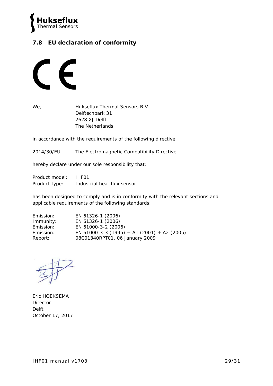

### <span id="page-28-0"></span>**7.8 EU declaration of conformity**



We, **Hukseflux Thermal Sensors B.V.** Delftechpark 31 2628 XJ Delft The Netherlands

in accordance with the requirements of the following directive:

2014/30/EU The Electromagnetic Compatibility Directive

hereby declare under our sole responsibility that:

Product model: IHF01 Product type: Industrial heat flux sensor

has been designed to comply and is in conformity with the relevant sections and applicable requirements of the following standards:

| Emission: | EN 61326-1 (2006)                           |
|-----------|---------------------------------------------|
| Immunity: | EN 61326-1 (2006)                           |
| Emission: | EN 61000-3-2 (2006)                         |
| Emission: | EN 61000-3-3 (1995) + A1 (2001) + A2 (2005) |
| Report:   | 08C01340RPT01, 06 January 2009              |

Eric HOEKSEMA **Director** Delft October 17, 2017